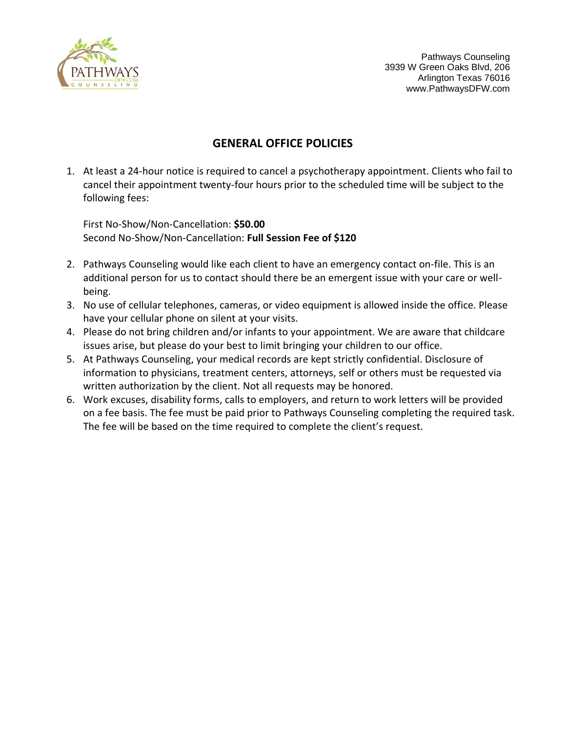

Pathways Counseling 3939 W Green Oaks Blvd, 206 Arlington Texas 76016 www.PathwaysDFW.com

# **GENERAL OFFICE POLICIES**

1. At least a 24-hour notice is required to cancel a psychotherapy appointment. Clients who fail to cancel their appointment twenty-four hours prior to the scheduled time will be subject to the following fees:

First No-Show/Non-Cancellation: **\$50.00**  Second No-Show/Non-Cancellation: **Full Session Fee of \$120**

- 2. Pathways Counseling would like each client to have an emergency contact on-file. This is an additional person for us to contact should there be an emergent issue with your care or wellbeing.
- 3. No use of cellular telephones, cameras, or video equipment is allowed inside the office. Please have your cellular phone on silent at your visits.
- 4. Please do not bring children and/or infants to your appointment. We are aware that childcare issues arise, but please do your best to limit bringing your children to our office.
- 5. At Pathways Counseling, your medical records are kept strictly confidential. Disclosure of information to physicians, treatment centers, attorneys, self or others must be requested via written authorization by the client. Not all requests may be honored.
- 6. Work excuses, disability forms, calls to employers, and return to work letters will be provided on a fee basis. The fee must be paid prior to Pathways Counseling completing the required task. The fee will be based on the time required to complete the client's request.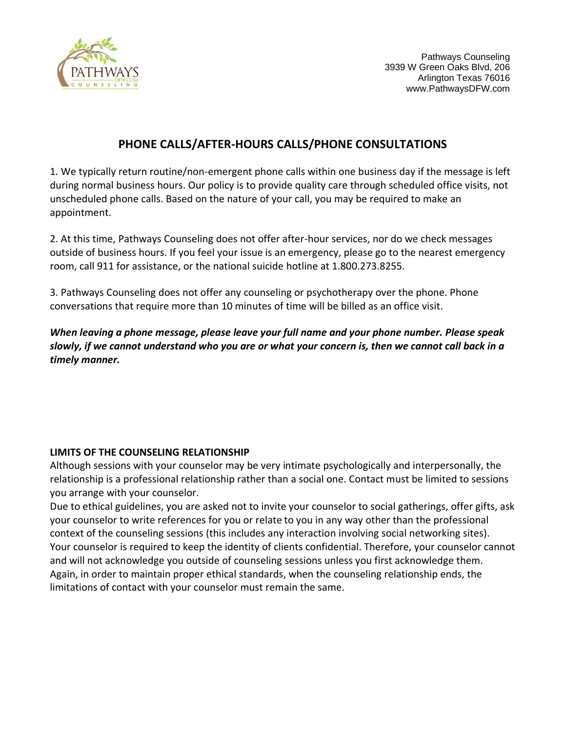

# **PHONE CALLS/AFTER-HOURS CALLS/PHONE CONSULTATIONS**

1. We typically return routine/non-emergent phone calls within one business day if the message is left during normal business hours. Our policy is to provide quality care through scheduled office visits, not unscheduled phone calls. Based on the nature of your call, you may be required to make an appointment.

2. At this time, Pathways Counseling does not offer after-hour services, nor do we check messages outside of business hours. If you feel your issue is an emergency, please go to the nearest emergency room, call 911 for assistance, or the national suicide hotline at 1.800.273.8255.

3. Pathways Counseling does not offer any counseling or psychotherapy over the phone. Phone conversations that require more than 10 minutes of time will be billed as an office visit.

*When leaving a phone message, please leave your full name and your phone number. Please speak slowly, if we cannot understand who you are or what your concern is, then we cannot call back in a timely manner.* 

## **LIMITS OF THE COUNSELING RELATIONSHIP**

Although sessions with your counselor may be very intimate psychologically and interpersonally, the relationship is a professional relationship rather than a social one. Contact must be limited to sessions you arrange with your counselor.

Due to ethical guidelines, you are asked not to invite your counselor to social gatherings, offer gifts, ask your counselor to write references for you or relate to you in any way other than the professional context of the counseling sessions (this includes any interaction involving social networking sites). Your counselor is required to keep the identity of clients confidential. Therefore, your counselor cannot and will not acknowledge you outside of counseling sessions unless you first acknowledge them. Again, in order to maintain proper ethical standards, when the counseling relationship ends, the limitations of contact with your counselor must remain the same.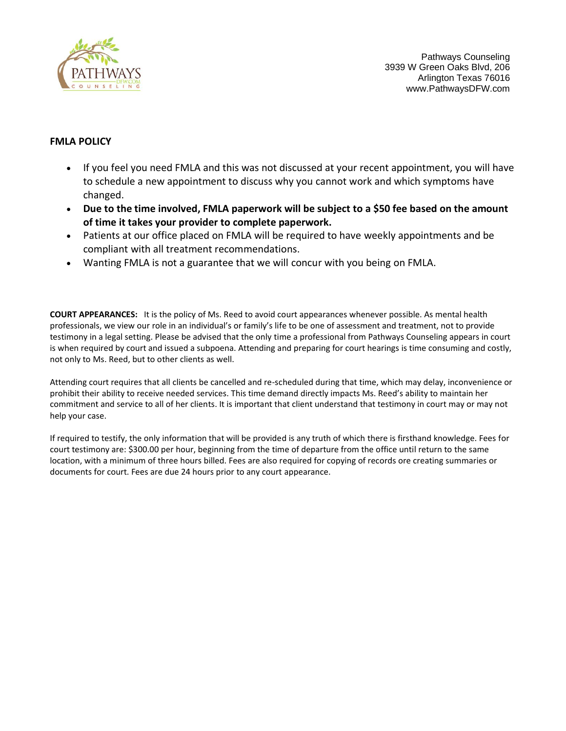

Pathways Counseling 3939 W Green Oaks Blvd, 206 Arlington Texas 76016 www.PathwaysDFW.com

## **FMLA POLICY**

- If you feel you need FMLA and this was not discussed at your recent appointment, you will have to schedule a new appointment to discuss why you cannot work and which symptoms have changed.
- **Due to the time involved, FMLA paperwork will be subject to a \$50 fee based on the amount of time it takes your provider to complete paperwork.**
- Patients at our office placed on FMLA will be required to have weekly appointments and be compliant with all treatment recommendations.
- Wanting FMLA is not a guarantee that we will concur with you being on FMLA.

**COURT APPEARANCES:** It is the policy of Ms. Reed to avoid court appearances whenever possible. As mental health professionals, we view our role in an individual's or family's life to be one of assessment and treatment, not to provide testimony in a legal setting. Please be advised that the only time a professional from Pathways Counseling appears in court is when required by court and issued a subpoena. Attending and preparing for court hearings is time consuming and costly, not only to Ms. Reed, but to other clients as well.

Attending court requires that all clients be cancelled and re-scheduled during that time, which may delay, inconvenience or prohibit their ability to receive needed services. This time demand directly impacts Ms. Reed's ability to maintain her commitment and service to all of her clients. It is important that client understand that testimony in court may or may not help your case.

If required to testify, the only information that will be provided is any truth of which there is firsthand knowledge. Fees for court testimony are: \$300.00 per hour, beginning from the time of departure from the office until return to the same location, with a minimum of three hours billed. Fees are also required for copying of records ore creating summaries or documents for court. Fees are due 24 hours prior to any court appearance.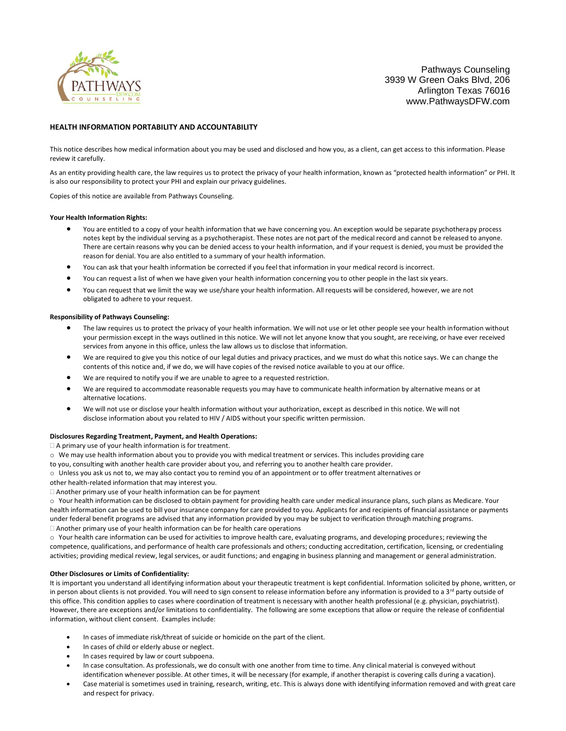

Pathways Counseling 3939 W Green Oaks Blvd, 206 Arlington Texas 76016 www.PathwaysDFW.com

#### **HEALTH INFORMATION PORTABILITY AND ACCOUNTABILITY**

This notice describes how medical information about you may be used and disclosed and how you, as a client, can get access to this information. Please review it carefully.

As an entity providing health care, the law requires us to protect the privacy of your health information, known as "protected health information" or PHI. It is also our responsibility to protect your PHI and explain our privacy guidelines.

Copies of this notice are available from Pathways Counseling.

#### **Your Health Information Rights:**

- You are entitled to a copy of your health information that we have concerning you. An exception would be separate psychotherapy process notes kept by the individual serving as a psychotherapist. These notes are not part of the medical record and cannot be released to anyone. There are certain reasons why you can be denied access to your health information, and if your request is denied, you must be provided the reason for denial. You are also entitled to a summary of your health information.
- You can ask that your health information be corrected if you feel that information in your medical record is incorrect.
- You can request a list of when we have given your health information concerning you to other people in the last six years.
- You can request that we limit the way we use/share your health information. All requests will be considered, however, we are not obligated to adhere to your request.

#### **Responsibility of Pathways Counseling:**

- The law requires us to protect the privacy of your health information. We will not use or let other people see your health information without your permission except in the ways outlined in this notice. We will not let anyone know that you sought, are receiving, or have ever received services from anyone in this office, unless the law allows us to disclose that information.
- We are required to give you this notice of our legal duties and privacy practices, and we must do what this notice says. We can change the contents of this notice and, if we do, we will have copies of the revised notice available to you at our office.
- We are required to notify you if we are unable to agree to a requested restriction.
- We are required to accommodate reasonable requests you may have to communicate health information by alternative means or at alternative locations.
- We will not use or disclose your health information without your authorization, except as described in this notice. We will not disclose information about you related to HIV / AIDS without your specific written permission.

#### **Disclosures Regarding Treatment, Payment, and Health Operations:**

 $\Box$  A primary use of your health information is for treatment.

- o We may use health information about you to provide you with medical treatment or services. This includes providing care
- to you, consulting with another health care provider about you, and referring you to another health care provider.
- o Unless you ask us not to, we may also contact you to remind you of an appointment or to offer treatment alternatives or

other health-related information that may interest you.

Another primary use of your health information can be for payment

o Your health information can be disclosed to obtain payment for providing health care under medical insurance plans, such plans as Medicare. Your health information can be used to bill your insurance company for care provided to you. Applicants for and recipients of financial assistance or payments under federal benefit programs are advised that any information provided by you may be subject to verification through matching programs. Another primary use of your health information can be for health care operations

o Your health care information can be used for activities to improve health care, evaluating programs, and developing procedures; reviewing the competence, qualifications, and performance of health care professionals and others; conducting accreditation, certification, licensing, or credentialing activities; providing medical review, legal services, or audit functions; and engaging in business planning and management or general administration.

#### **Other Disclosures or Limits of Confidentiality:**

It is important you understand all identifying information about your therapeutic treatment is kept confidential. Information solicited by phone, written, or in person about clients is not provided. You will need to sign consent to release information before any information is provided to a 3<sup>rd</sup> party outside of this office. This condition applies to cases where coordination of treatment is necessary with another health professional (e.g. physician, psychiatrist). However, there are exceptions and/or limitations to confidentiality. The following are some exceptions that allow or require the release of confidential information, without client consent. Examples include:

- In cases of immediate risk/threat of suicide or homicide on the part of the client.
- In cases of child or elderly abuse or neglect.
- In cases required by law or court subpoena.
- In case consultation. As professionals, we do consult with one another from time to time. Any clinical material is conveyed without identification whenever possible. At other times, it will be necessary (for example, if another therapist is covering calls during a vacation).
- Case material is sometimes used in training, research, writing, etc. This is always done with identifying information removed and with great care and respect for privacy.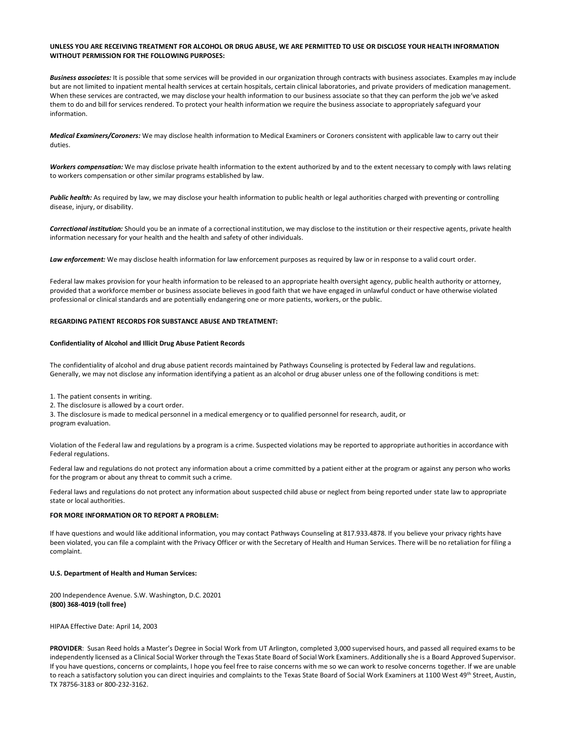#### **UNLESS YOU ARE RECEIVING TREATMENT FOR ALCOHOL OR DRUG ABUSE, WE ARE PERMITTED TO USE OR DISCLOSE YOUR HEALTH INFORMATION WITHOUT PERMISSION FOR THE FOLLOWING PURPOSES:**

Business associates: It is possible that some services will be provided in our organization through contracts with business associates. Examples may include but are not limited to inpatient mental health services at certain hospitals, certain clinical laboratories, and private providers of medication management. When these services are contracted, we may disclose your health information to our business associate so that they can perform the job we've asked them to do and bill for services rendered. To protect your health information we require the business associate to appropriately safeguard your information.

*Medical Examiners/Coroners:* We may disclose health information to Medical Examiners or Coroners consistent with applicable law to carry out their duties.

*Workers compensation:* We may disclose private health information to the extent authorized by and to the extent necessary to comply with laws relating to workers compensation or other similar programs established by law.

*Public health:* As required by law, we may disclose your health information to public health or legal authorities charged with preventing or controlling disease, injury, or disability.

*Correctional institution:* Should you be an inmate of a correctional institution, we may disclose to the institution or their respective agents, private health information necessary for your health and the health and safety of other individuals.

Law enforcement: We may disclose health information for law enforcement purposes as required by law or in response to a valid court order.

Federal law makes provision for your health information to be released to an appropriate health oversight agency, public health authority or attorney, provided that a workforce member or business associate believes in good faith that we have engaged in unlawful conduct or have otherwise violated professional or clinical standards and are potentially endangering one or more patients, workers, or the public.

#### **REGARDING PATIENT RECORDS FOR SUBSTANCE ABUSE AND TREATMENT:**

#### **Confidentiality of Alcohol and Illicit Drug Abuse Patient Records**

The confidentiality of alcohol and drug abuse patient records maintained by Pathways Counseling is protected by Federal law and regulations. Generally, we may not disclose any information identifying a patient as an alcohol or drug abuser unless one of the following conditions is met:

1. The patient consents in writing.

2. The disclosure is allowed by a court order.

3. The disclosure is made to medical personnel in a medical emergency or to qualified personnel for research, audit, or program evaluation.

Violation of the Federal law and regulations by a program is a crime. Suspected violations may be reported to appropriate authorities in accordance with Federal regulations.

Federal law and regulations do not protect any information about a crime committed by a patient either at the program or against any person who works for the program or about any threat to commit such a crime.

Federal laws and regulations do not protect any information about suspected child abuse or neglect from being reported under state law to appropriate state or local authorities.

#### **FOR MORE INFORMATION OR TO REPORT A PROBLEM:**

If have questions and would like additional information, you may contact Pathways Counseling at 817.933.4878. If you believe your privacy rights have been violated, you can file a complaint with the Privacy Officer or with the Secretary of Health and Human Services. There will be no retaliation for filing a complaint.

#### **U.S. Department of Health and Human Services:**

200 Independence Avenue. S.W. Washington, D.C. 20201 **(800) 368-4019 (toll free)** 

HIPAA Effective Date: April 14, 2003

**PROVIDER**: Susan Reed holds a Master's Degree in Social Work from UT Arlington, completed 3,000 supervised hours, and passed all required exams to be independently licensed as a Clinical Social Worker through the Texas State Board of Social Work Examiners. Additionally she is a Board Approved Supervisor. If you have questions, concerns or complaints, I hope you feel free to raise concerns with me so we can work to resolve concerns together. If we are unable to reach a satisfactory solution you can direct inquiries and complaints to the Texas State Board of Social Work Examiners at 1100 West 49<sup>th</sup> Street, Austin, TX 78756-3183 or 800-232-3162.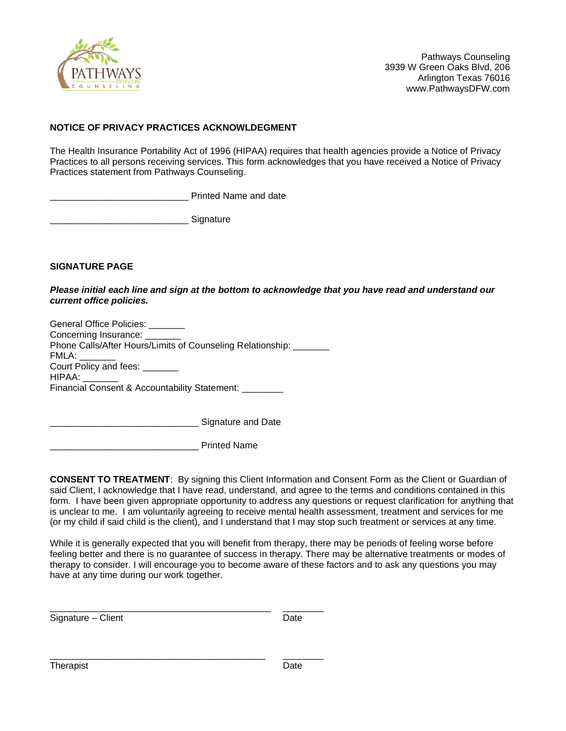

## **NOTICE OF PRIVACY PRACTICES ACKNOWLDEGMENT**

The Health Insurance Portability Act of 1996 (HIPAA) requires that health agencies provide a Notice of Privacy Practices to all persons receiving services. This form acknowledges that you have received a Notice of Privacy Practices statement from Pathways Counseling.

Printed Name and date

\_\_\_\_\_\_\_\_\_\_\_\_\_\_\_\_\_\_\_\_\_\_\_\_\_\_\_ Signature

**SIGNATURE PAGE** 

*Please initial each line and sign at the bottom to acknowledge that you have read and understand our current office policies.* 

| General Office Policies: _______                                   |
|--------------------------------------------------------------------|
| Concerning Insurance: _______                                      |
| Phone Calls/After Hours/Limits of Counseling Relationship: _______ |
| FMLA:                                                              |
| Court Policy and fees: ______                                      |
| HIPAA:                                                             |
| Financial Consent & Accountability Statement:                      |
|                                                                    |
|                                                                    |

\_\_\_\_\_\_\_\_\_\_\_\_\_\_\_\_\_\_\_\_\_\_\_\_\_\_\_\_\_\_\_\_\_\_\_\_\_\_\_\_\_\_\_ \_\_\_\_\_\_\_\_

Signature and Date

\_\_\_\_\_\_\_\_\_\_\_\_\_\_\_\_\_\_\_\_\_\_\_\_\_\_\_\_\_ Printed Name

**CONSENT TO TREATMENT**: By signing this Client Information and Consent Form as the Client or Guardian of said Client, I acknowledge that I have read, understand, and agree to the terms and conditions contained in this form. I have been given appropriate opportunity to address any questions or request clarification for anything that is unclear to me. I am voluntarily agreeing to receive mental health assessment, treatment and services for me (or my child if said child is the client), and I understand that I may stop such treatment or services at any time.

While it is generally expected that you will benefit from therapy, there may be periods of feeling worse before feeling better and there is no guarantee of success in therapy. There may be alternative treatments or modes of therapy to consider. I will encourage you to become aware of these factors and to ask any questions you may have at any time during our work together.

Signature – Client Date